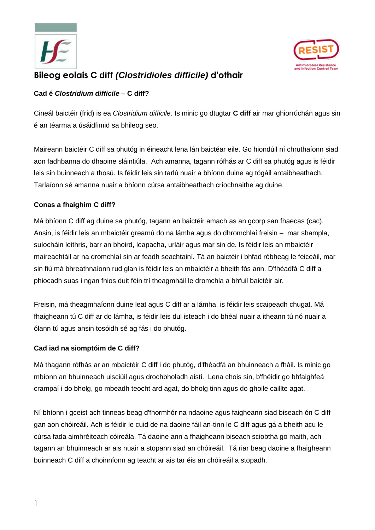



# **Bileog eolais C diff** *(Clostridioles difficile)* **d'othair**

## **Cad é** *Clostridium difficile –* **C diff?**

Cineál baictéir (fríd) is ea *Clostridium difficile*. Is minic go dtugtar **C diff** air mar ghiorrúchán agus sin é an téarma a úsáidfimid sa bhileog seo.

Maireann baictéir C diff sa phutóg in éineacht lena lán baictéar eile. Go hiondúil ní chruthaíonn siad aon fadhbanna do dhaoine sláintiúla. Ach amanna, tagann rófhás ar C diff sa phutóg agus is féidir leis sin buinneach a thosú. Is féidir leis sin tarlú nuair a bhíonn duine ag tógáil antaibheathach. Tarlaíonn sé amanna nuair a bhíonn cúrsa antaibheathach críochnaithe ag duine.

#### **Conas a fhaighim C diff?**

Má bhíonn C diff ag duine sa phutóg, tagann an baictéir amach as an gcorp san fhaecas (cac). Ansin, is féidir leis an mbaictéir greamú do na lámha agus do dhromchlaí freisin – mar shampla, suíocháin leithris, barr an bhoird, leapacha, urláir agus mar sin de. Is féidir leis an mbaictéir maireachtáil ar na dromchlaí sin ar feadh seachtainí. Tá an baictéir i bhfad róbheag le feiceáil, mar sin fiú má bhreathnaíonn rud glan is féidir leis an mbaictéir a bheith fós ann. D'fhéadfá C diff a phiocadh suas i ngan fhios duit féin trí theagmháil le dromchla a bhfuil baictéir air.

Freisin, má theagmhaíonn duine leat agus C diff ar a lámha, is féidir leis scaipeadh chugat. Má fhaigheann tú C diff ar do lámha, is féidir leis dul isteach i do bhéal nuair a itheann tú nó nuair a ólann tú agus ansin tosóidh sé ag fás i do phutóg.

## **Cad iad na siomptóim de C diff?**

Má thagann rófhás ar an mbaictéir C diff i do phutóg, d'fhéadfá an bhuinneach a fháil. Is minic go mbíonn an bhuinneach uisciúil agus drochbholadh aisti. Lena chois sin, b'fhéidir go bhfaighfeá crampaí i do bholg, go mbeadh teocht ard agat, do bholg tinn agus do ghoile caillte agat.

Ní bhíonn i gceist ach tinneas beag d'fhormhór na ndaoine agus faigheann siad biseach ón C diff gan aon chóireáil. Ach is féidir le cuid de na daoine fáil an-tinn le C diff agus gá a bheith acu le cúrsa fada aimhréiteach cóireála. Tá daoine ann a fhaigheann biseach sciobtha go maith, ach tagann an bhuinneach ar ais nuair a stopann siad an chóireáil. Tá riar beag daoine a fhaigheann buinneach C diff a choinníonn ag teacht ar ais tar éis an chóireáil a stopadh.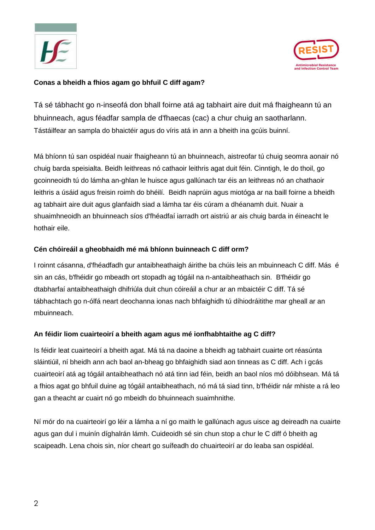



#### **Conas a bheidh a fhios agam go bhfuil C diff agam?**

Tá sé tábhacht go n-inseofá don bhall foirne atá ag tabhairt aire duit má fhaigheann tú an bhuinneach, agus féadfar sampla de d'fhaecas (cac) a chur chuig an saotharlann. Tástáilfear an sampla do bhaictéir agus do víris atá in ann a bheith ina gcúis buinní.

Má bhíonn tú san ospidéal nuair fhaigheann tú an bhuinneach, aistreofar tú chuig seomra aonair nó chuig barda speisialta. Beidh leithreas nó cathaoir leithris agat duit féin. Cinntigh, le do thoil, go gcoinneoidh tú do lámha an-ghlan le huisce agus gallúnach tar éis an leithreas nó an chathaoir leithris a úsáid agus freisin roimh do bhéilí. Beidh naprúin agus miotóga ar na baill foirne a bheidh ag tabhairt aire duit agus glanfaidh siad a lámha tar éis cúram a dhéanamh duit. Nuair a shuaimhneoidh an bhuinneach síos d'fhéadfaí iarradh ort aistriú ar ais chuig barda in éineacht le hothair eile.

#### **Cén chóireáil a gheobhaidh mé má bhíonn buinneach C diff orm?**

I roinnt cásanna, d'fhéadfadh gur antaibheathaigh áirithe ba chúis leis an mbuinneach C diff. Más é sin an cás, b'fhéidir go mbeadh ort stopadh ag tógáil na n-antaibheathach sin. B'fhéidir go dtabharfaí antaibheathaigh dhifriúla duit chun cóireáil a chur ar an mbaictéir C diff. Tá sé tábhachtach go n-ólfá neart deochanna ionas nach bhfaighidh tú díhiodráitithe mar gheall ar an mbuinneach.

## **An féidir liom cuairteoirí a bheith agam agus mé ionfhabhtaithe ag C diff?**

Is féidir leat cuairteoirí a bheith agat. Má tá na daoine a bheidh ag tabhairt cuairte ort réasúnta sláintiúil, ní bheidh ann ach baol an-bheag go bhfaighidh siad aon tinneas as C diff. Ach i gcás cuairteoirí atá ag tógáil antaibheathach nó atá tinn iad féin, beidh an baol níos mó dóibhsean. Má tá a fhios agat go bhfuil duine ag tógáil antaibheathach, nó má tá siad tinn, b'fhéidir nár mhiste a rá leo gan a theacht ar cuairt nó go mbeidh do bhuinneach suaimhnithe.

Ní mór do na cuairteoirí go léir a lámha a ní go maith le gallúnach agus uisce ag deireadh na cuairte agus gan dul i muinín díghalrán lámh. Cuideoidh sé sin chun stop a chur le C diff ó bheith ag scaipeadh. Lena chois sin, níor cheart go suífeadh do chuairteoirí ar do leaba san ospidéal.